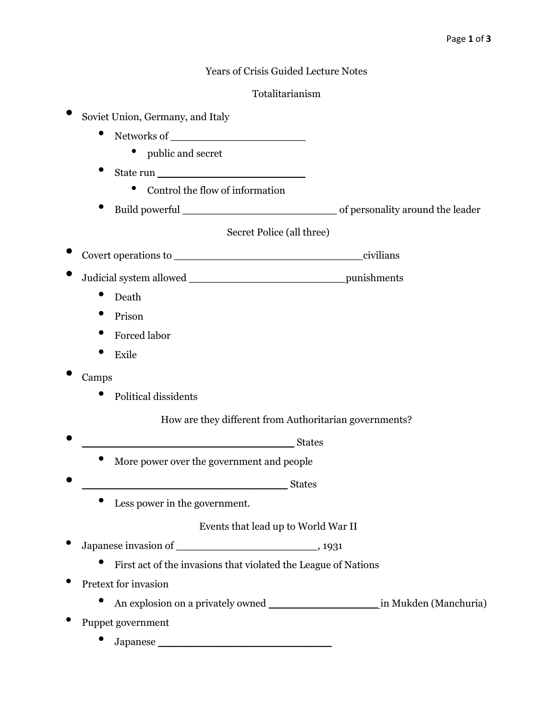# Years of Crisis Guided Lecture Notes

#### Totalitarianism

- Soviet Union, Germany, and Italy
	- Networks of
		- public and secret
	- State run \_\_\_\_\_\_\_\_\_\_\_\_\_\_\_\_\_\_\_\_\_\_\_
		- Control the flow of information
	- Build powerful \_\_\_\_\_\_\_\_\_\_\_\_\_\_\_\_\_\_\_\_\_\_\_\_ of personality around the leader

# Secret Police (all three)

- Covert operations to \_\_\_\_\_\_\_\_\_\_\_\_\_\_\_\_\_\_\_\_\_\_\_\_\_\_\_\_\_ civilians
- Judicial system allowed **business** punishments
	- Death
	- Prison
	- Forced labor
	- Exile
- Camps
	- Political dissidents

# How are they different from Authoritarian governments?

- end and the states of  $\overline{\text{States}}$ 
	- More power over the government and people
- \_\_\_\_\_\_\_\_\_\_\_\_\_\_\_\_\_\_\_\_\_\_\_\_\_\_\_\_\_\_\_\_ States
	- Less power in the government.

# Events that lead up to World War II

- Japanese invasion of \_\_\_\_\_\_\_\_\_\_\_\_\_\_\_\_\_\_\_\_\_\_, 1931
	- First act of the invasions that violated the League of Nations
- Pretext for invasion
	- An explosion on a privately owned in Mukden (Manchuria)
- Puppet government
	- Japanese \_\_\_\_\_\_\_\_\_\_\_\_\_\_\_\_\_\_\_\_\_\_\_\_\_\_\_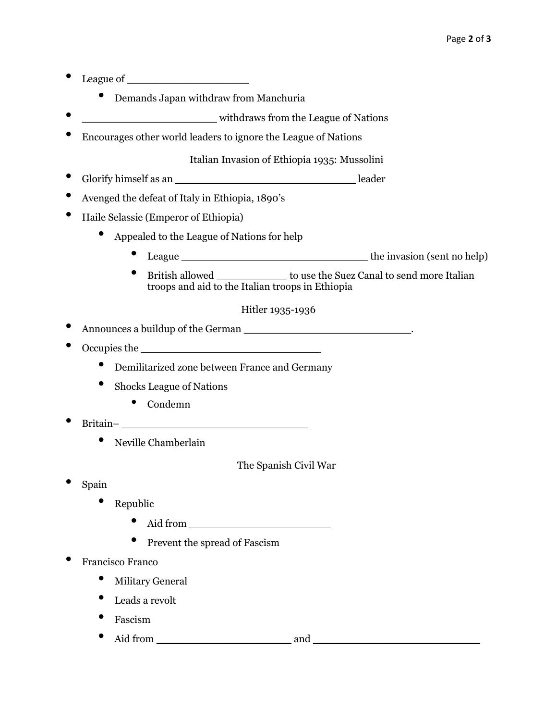- League of  $\qquad \qquad$  League of  $\qquad \qquad$ 
	- Demands Japan withdraw from Manchuria
- \_\_\_\_\_\_\_\_\_\_\_\_\_\_\_\_\_\_\_\_\_ withdraws from the League of Nations
- Encourages other world leaders to ignore the League of Nations

Italian Invasion of Ethiopia 1935: Mussolini

- Glorify himself as an \_\_\_\_\_\_\_\_\_\_\_\_\_\_\_\_\_\_\_\_\_\_\_\_\_\_\_\_ leader
- Avenged the defeat of Italy in Ethiopia, 1890's
- Haile Selassie (Emperor of Ethiopia)
	- Appealed to the League of Nations for help
		- **League** the invasion (sent no help)
		- British allowed \_\_\_\_\_\_\_\_\_\_\_ to use the Suez Canal to send more Italian troops and aid to the Italian troops in Ethiopia

Hitler 1935-1936

Announces a buildup of the German \_\_\_\_\_\_\_\_\_\_\_\_\_\_\_\_\_\_\_\_\_\_\_\_\_\_\_\_\_\_\_\_\_\_.

- Occupies the \_\_\_\_\_\_\_\_\_\_\_\_\_\_\_\_\_\_\_\_\_\_\_\_\_\_\_\_
	- Demilitarized zone between France and Germany
	- Shocks League of Nations
		- Condemn
- Britain– \_\_\_\_\_\_\_\_\_\_\_\_\_\_\_\_\_\_\_\_\_\_\_\_\_\_\_\_\_
	- Neville Chamberlain

The Spanish Civil War

- Spain
	- Republic
		- Aid from \_\_\_\_\_\_\_\_\_\_\_\_\_\_\_\_\_\_\_\_\_\_
		- Prevent the spread of Fascism
- Francisco Franco
	- **Military General**
	- Leads a revolt
	- Fascism
	- Aid from \_\_\_\_\_\_\_\_\_\_\_\_\_\_\_\_\_\_\_\_\_ and \_\_\_\_\_\_\_\_\_\_\_\_\_\_\_\_\_\_\_\_\_\_\_\_\_\_